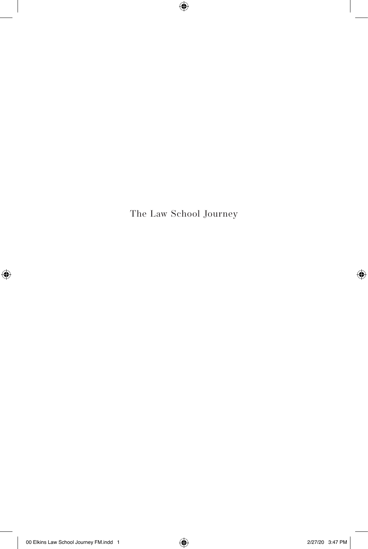The Law School Journey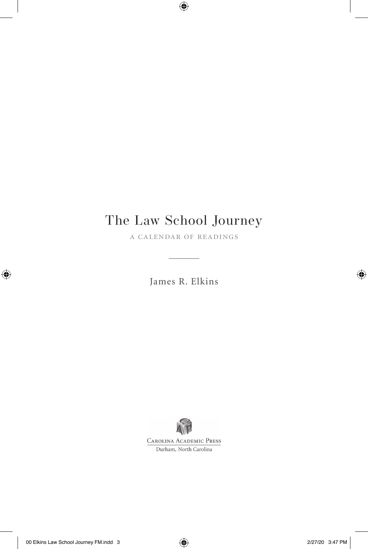# The Law School Journey

a calendar of readings

James R. Elkins

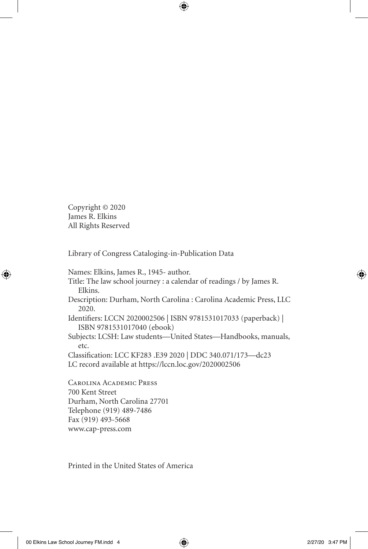Copyright © 2020 James R. Elkins All Rights Reserved

Library of Congress Cataloging-in-Publication Data

Names: Elkins, James R., 1945- author. Title: The law school journey : a calendar of readings / by James R. Elkins. Description: Durham, North Carolina : Carolina Academic Press, LLC 2020. Identifiers: LCCN 2020002506 | ISBN 9781531017033 (paperback) | ISBN 9781531017040 (ebook) Subjects: LCSH: Law students—United States—Handbooks, manuals, etc. Classification: LCC KF283 .E39 2020 | DDC 340.071/173—dc23 LC record available at https://lccn.loc.gov/2020002506

Carolina Academic Press 700 Kent Street Durham, North Carolina 27701 Telephone (919) 489-7486 Fax (919) 493-5668 www.cap-press.com

Printed in the United States of America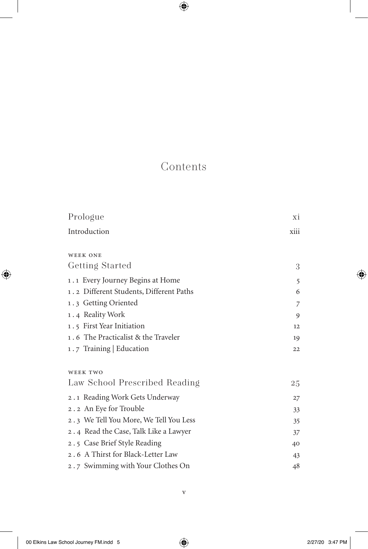## Contents

| Prologue                                | Хİ   |
|-----------------------------------------|------|
| Introduction                            | xiii |
|                                         |      |
| <b>WEEK ONE</b>                         |      |
| Getting Started                         | 3    |
| 1.1 Every Journey Begins at Home        | 5    |
| 1.2 Different Students, Different Paths | 6    |
| 1.3 Getting Oriented                    | 7    |
| 1.4 Reality Work                        | 9    |
| 1.5 First Year Initiation               | 12   |
| 1.6 The Practicalist & the Traveler     | 19   |
| 1.7 Training   Education                | 22   |
|                                         |      |
| <b>WEEK TWO</b>                         |      |
| Law School Prescribed Reading           | 25   |
| 2.1 Reading Work Gets Underway          | 27   |
| 2.2 An Eye for Trouble                  | 33   |
| 2.3 We Tell You More, We Tell You Less  | 35   |
| 2.4 Read the Case, Talk Like a Lawyer   | 37   |
| 2.5 Case Brief Style Reading            | 40   |
| 2.6 A Thirst for Black-Letter Law       | 43   |
| 2.7 Swimming with Your Clothes On       | 48   |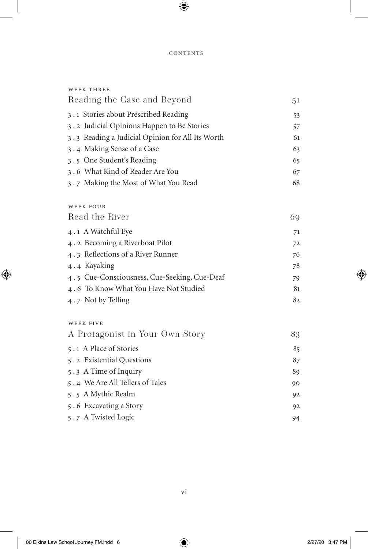| <b>WEEK THREE</b>                                |    |
|--------------------------------------------------|----|
| Reading the Case and Beyond                      | 51 |
| 3.1 Stories about Prescribed Reading             | 53 |
| 3.2 Judicial Opinions Happen to Be Stories       | 57 |
| 3.3 Reading a Judicial Opinion for All Its Worth | 61 |
| 3.4 Making Sense of a Case                       | 63 |
| 3.5 One Student's Reading                        | 65 |
| 3.6 What Kind of Reader Are You                  | 67 |
| 3.7 Making the Most of What You Read             | 68 |
| <b>WEEK FOUR</b>                                 |    |
| Read the River                                   | 69 |
| 4.1 A Watchful Eye                               | 71 |
| 4.2 Becoming a Riverboat Pilot                   | 72 |
| 4.3 Reflections of a River Runner                | 76 |
| 4.4 Kayaking                                     | 78 |
| 4.5 Cue-Consciousness, Cue-Seeking, Cue-Deaf     | 79 |
| 4.6 To Know What You Have Not Studied            | 81 |
| $4.7$ Not by Telling                             | 82 |
| <b>WEEK FIVE</b>                                 |    |
| A Protagonist in Your Own Story                  | 83 |
| 5.1 A Place of Stories                           | 85 |
| 5.2 Existential Questions                        | 87 |
| 5.3 A Time of Inquiry                            | 89 |
| 5.4 We Are All Tellers of Tales                  | 90 |
| 5.5 A Mythic Realm                               | 92 |
| 5.6 Excavating a Story                           | 92 |
| 5.7 A Twisted Logic                              | 94 |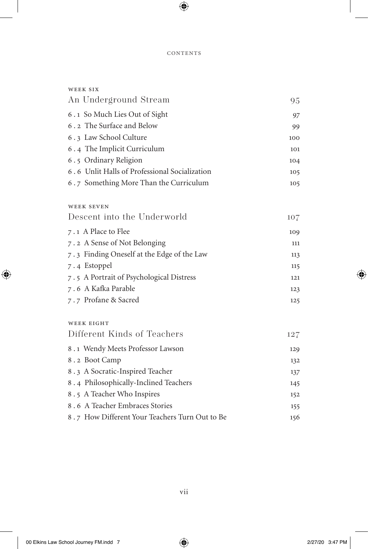### **CONTENTS**

| WEEK SIX                                       |     |
|------------------------------------------------|-----|
| An Underground Stream                          | 95  |
| 6.1 So Much Lies Out of Sight                  | 97  |
| 6.2 The Surface and Below                      | 99  |
| 6.3 Law School Culture                         | 100 |
| 6.4 The Implicit Curriculum                    | 101 |
| 6.5 Ordinary Religion                          | 104 |
| 6.6 Unlit Halls of Professional Socialization  | 105 |
| 6.7 Something More Than the Curriculum         | 105 |
| <b>WEEK SEVEN</b>                              |     |
| Descent into the Underworld                    | 107 |
| 7.1 A Place to Flee                            | 109 |
| 7.2 A Sense of Not Belonging                   | 111 |
| 7.3 Finding Oneself at the Edge of the Law     | 113 |
| 7.4 Estoppel                                   | 115 |
| 7.5 A Portrait of Psychological Distress       | 121 |
| 7.6 A Kafka Parable                            | 123 |
| 7.7 Profane & Sacred                           | 125 |
| <b>WEEK EIGHT</b>                              |     |
| Different Kinds of Teachers                    | 127 |
| 8.1 Wendy Meets Professor Lawson               | 129 |
| 8.2 Boot Camp                                  | 132 |
| 8.3 A Socratic-Inspired Teacher                | 137 |
| 8.4 Philosophically-Inclined Teachers          | 145 |
| 8.5 A Teacher Who Inspires                     | 152 |
| 8.6 A Teacher Embraces Stories                 | 155 |
| 8.7 How Different Your Teachers Turn Out to Be | 156 |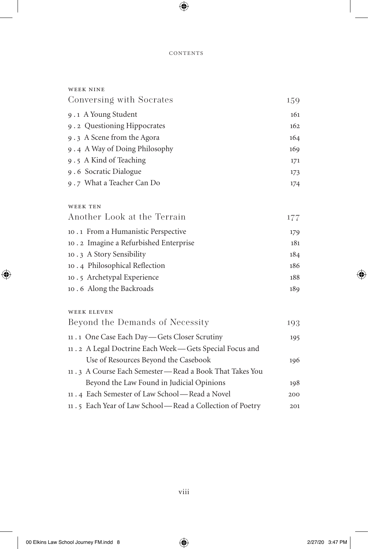### contents

| <b>WEEK NINE</b>                                         |     |
|----------------------------------------------------------|-----|
| Conversing with Socrates                                 | 159 |
| 9.1 A Young Student                                      | 161 |
| 9.2 Questioning Hippocrates                              | 162 |
| 9.3 A Scene from the Agora                               | 164 |
| 9.4 A Way of Doing Philosophy                            | 169 |
| 9.5 A Kind of Teaching                                   | 171 |
| 9.6 Socratic Dialogue                                    | 173 |
| 9.7 What a Teacher Can Do                                | 174 |
| <b>WEEK TEN</b>                                          |     |
| Another Look at the Terrain                              | 177 |
| 10.1 From a Humanistic Perspective                       | 179 |
| 10.2 Imagine a Refurbished Enterprise                    | 181 |
| 10.3 A Story Sensibility                                 | 184 |
| 10.4 Philosophical Reflection                            | 186 |
| 10.5 Archetypal Experience                               | 188 |
| 10.6 Along the Backroads                                 | 189 |
| <b>WEEK ELEVEN</b>                                       |     |
| Beyond the Demands of Necessity                          | 193 |
| 11 . 1 One Case Each Day - Gets Closer Scrutiny          | 195 |
| 11.2 A Legal Doctrine Each Week-Gets Special Focus and   |     |
| Use of Resources Beyond the Casebook                     | 196 |
| 11.3 A Course Each Semester - Read a Book That Takes You |     |
| Beyond the Law Found in Judicial Opinions                | 198 |
| 11.4 Each Semester of Law School—Read a Novel            | 200 |
| 11.5 Each Year of Law School-Read a Collection of Poetry | 201 |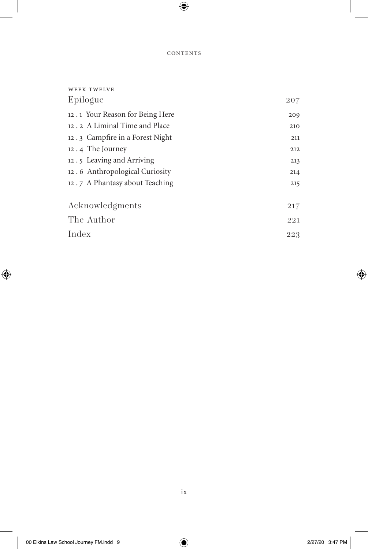### **CONTENTS**

| 207 |
|-----|
| 209 |
| 210 |
| 211 |
| 212 |
| 213 |
| 214 |
| 215 |
|     |
| 217 |
| 221 |
| 223 |
|     |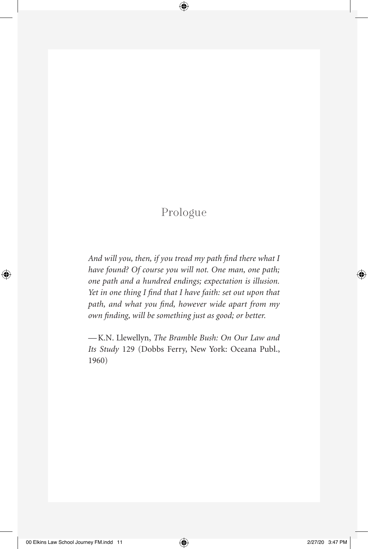## Prologue

*And will you, then, if you tread my path find there what I have found? Of course you will not. One man, one path; one path and a hundred endings; expectation is illusion. Yet in one thing I find that I have faith: set out upon that path, and what you find, however wide apart from my own finding, will be something just as good; or better.*

—K.N. Llewellyn, *The Bramble Bush: On Our Law and Its Study* 129 (Dobbs Ferry, New York: Oceana Publ., 1960)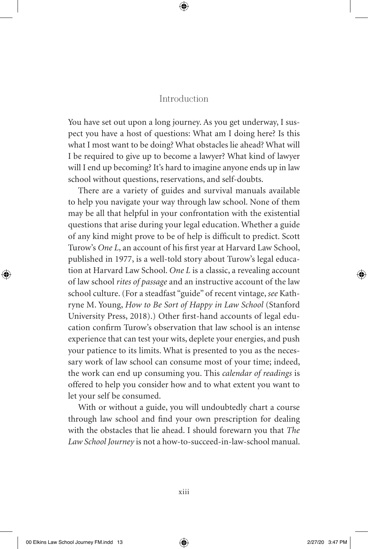## Introduction

You have set out upon a long journey. As you get underway, I suspect you have a host of questions: What am I doing here? Is this what I most want to be doing? What obstacles lie ahead? What will I be required to give up to become a lawyer? What kind of lawyer will I end up becoming? It's hard to imagine anyone ends up in law school without questions, reservations, and self-doubts.

There are a variety of guides and survival manuals available to help you navigate your way through law school. None of them may be all that helpful in your confrontation with the existential questions that arise during your legal education. Whether a guide of any kind might prove to be of help is difficult to predict. Scott Turow's *One L*, an account of his first year at Harvard Law School, published in 1977, is a well-told story about Turow's legal education at Harvard Law School. *One L* is a classic, a revealing account of law school *rites of passage* and an instructive account of the law school culture. (For a steadfast "guide" of recent vintage, *see* Kathryne M. Young, *How to Be Sort of Happy in Law School* (Stanford University Press, 2018).) Other first-hand accounts of legal education confirm Turow's observation that law school is an intense experience that can test your wits, deplete your energies, and push your patience to its limits. What is presented to you as the necessary work of law school can consume most of your time; indeed, the work can end up consuming you. This *calendar of readings* is offered to help you consider how and to what extent you want to let your self be consumed.

With or without a guide, you will undoubtedly chart a course through law school and find your own prescription for dealing with the obstacles that lie ahead. I should forewarn you that *The Law School Journey* is not a how-to-succeed-in-law-school manual.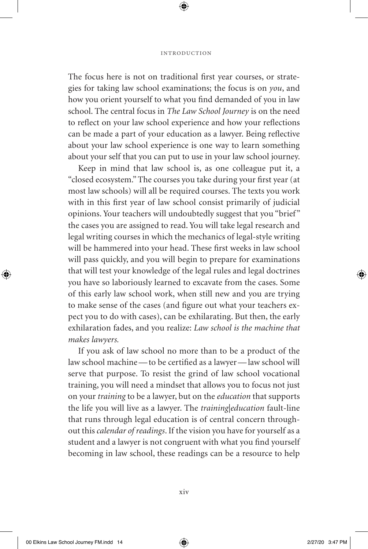#### introduction

The focus here is not on traditional first year courses, or strategies for taking law school examinations; the focus is on *you*, and how you orient yourself to what you find demanded of you in law school. The central focus in *The Law School Journey* is on the need to reflect on your law school experience and how your reflections can be made a part of your education as a lawyer. Being reflective about your law school experience is one way to learn something about your self that you can put to use in your law school journey.

Keep in mind that law school is, as one colleague put it, a "closed ecosystem." The courses you take during your first year (at most law schools) will all be required courses. The texts you work with in this first year of law school consist primarily of judicial opinions. Your teachers will undoubtedly suggest that you "brief" the cases you are assigned to read. You will take legal research and legal writing courses in which the mechanics of legal-style writing will be hammered into your head. These first weeks in law school will pass quickly, and you will begin to prepare for examinations that will test your knowledge of the legal rules and legal doctrines you have so laboriously learned to excavate from the cases. Some of this early law school work, when still new and you are trying to make sense of the cases (and figure out what your teachers expect you to do with cases), can be exhilarating. But then, the early exhilaration fades, and you realize: *Law school is the machine that makes lawyers.*

If you ask of law school no more than to be a product of the law school machine—to be certified as a lawyer—law school will serve that purpose. To resist the grind of law school vocational training, you will need a mindset that allows you to focus not just on your *training* to be a lawyer, but on the *education* that supports the life you will live as a lawyer. The *training|education* fault-line that runs through legal education is of central concern throughout this *calendar of readings*. If the vision you have for yourself as a student and a lawyer is not congruent with what you find yourself becoming in law school, these readings can be a resource to help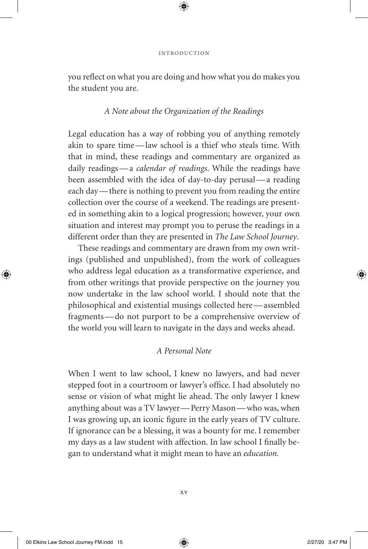you reflect on what you are doing and how what you do makes you the student you are.

## *A Note about the Organization of the Readings*

Legal education has a way of robbing you of anything remotely akin to spare time—law school is a thief who steals time. With that in mind, these readings and commentary are organized as daily readings—a *calendar of readings*. While the readings have been assembled with the idea of day-to-day perusal—a reading each day—there is nothing to prevent you from reading the entire collection over the course of a weekend. The readings are presented in something akin to a logical progression; however, your own situation and interest may prompt you to peruse the readings in a different order than they are presented in *The Law School Journey*.

These readings and commentary are drawn from my own writings (published and unpublished), from the work of colleagues who address legal education as a transformative experience, and from other writings that provide perspective on the journey you now undertake in the law school world. I should note that the philosophical and existential musings collected here—assembled fragments—do not purport to be a comprehensive overview of the world you will learn to navigate in the days and weeks ahead.

## *A Personal Note*

When I went to law school, I knew no lawyers, and had never stepped foot in a courtroom or lawyer's office. I had absolutely no sense or vision of what might lie ahead. The only lawyer I knew anything about was a TV lawyer—Perry Mason—who was, when I was growing up, an iconic figure in the early years of TV culture. If ignorance can be a blessing, it was a bounty for me. I remember my days as a law student with affection. In law school I finally began to understand what it might mean to have an *education.*